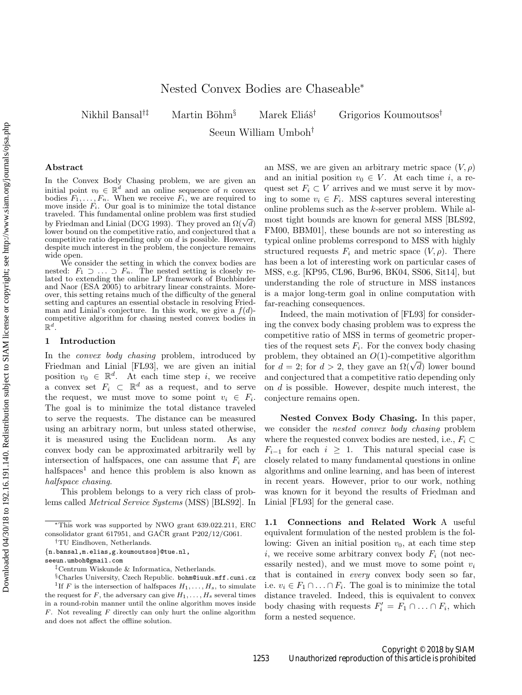Nikhil Bansal<sup>†‡</sup> Martin Böhm<sup>§</sup> Marek Eliáš<sup>†</sup> Grigorios Koumoutsos<sup>†</sup>

Seeun William Umboh†

#### Abstract

In the Convex Body Chasing problem, we are given an initial point  $v_0 \in \mathbb{R}^d$  and an online sequence of n convex bodies  $F_1, \ldots, F_n$ . When we receive  $F_i$ , we are required to move inside  $F_i$ . Our goal is to minimize the total distance traveled. This fundamental online problem was first studied traveled. This fundamental online problem was first studied<br>by Friedman and Linial (DCG 1993). They proved an  $\Omega(\sqrt{d})$ lower bound on the competitive ratio, and conjectured that a competitive ratio depending only on  $d$  is possible. However, despite much interest in the problem, the conjecture remains wide open.

We consider the setting in which the convex bodies are nested:  $F_1 \supset \ldots \supset F_n$ . The nested setting is closely related to extending the online LP framework of Buchbinder and Naor (ESA 2005) to arbitrary linear constraints. Moreover, this setting retains much of the difficulty of the general setting and captures an essential obstacle in resolving Friedman and Linial's conjecture. In this work, we give a  $f(d)$ competitive algorithm for chasing nested convex bodies in  $\mathbb{R}^d$ .

#### 1 Introduction

In the *convex body chasing* problem, introduced by Friedman and Linial [\[FL93\]](#page-7-0), we are given an initial position  $v_0 \in \mathbb{R}^d$ . At each time step *i*, we receive a convex set  $F_i \subset \mathbb{R}^d$  as a request, and to serve the request, we must move to some point  $v_i \in F_i$ . The goal is to minimize the total distance traveled to serve the requests. The distance can be measured using an arbitrary norm, but unless stated otherwise, it is measured using the Euclidean norm. As any convex body can be approximated arbitrarily well by intersection of halfspaces, one can assume that  $F_i$  are  $halfspaces<sup>1</sup>$  $halfspaces<sup>1</sup>$  $halfspaces<sup>1</sup>$  and hence this problem is also known as halfspace chasing.

This problem belongs to a very rich class of problems called Metrical Service Systems (MSS) [\[BLS92\]](#page-7-1). In

{n.bansal,m.elias,g.koumoutsos}@tue.nl,

seeun.umboh@gmail.com

an MSS, we are given an arbitrary metric space  $(V, \rho)$ and an initial position  $v_0 \in V$ . At each time i, a request set  $F_i \subset V$  arrives and we must serve it by moving to some  $v_i \in F_i$ . MSS captures several interesting online problems such as the k-server problem. While almost tight bounds are known for general MSS [\[BLS92,](#page-7-1) [FM00,](#page-7-2) [BBM01\]](#page-7-3), these bounds are not so interesting as typical online problems correspond to MSS with highly structured requests  $F_i$  and metric space  $(V, \rho)$ . There has been a lot of interesting work on particular cases of MSS, e.g. [\[KP95,](#page-7-4) [CL96,](#page-7-5) [Bur96,](#page-7-6) [BK04,](#page-7-7) [SS06,](#page-7-8) [Sit14\]](#page-7-9), but understanding the role of structure in MSS instances is a major long-term goal in online computation with far-reaching consequences.

Indeed, the main motivation of [\[FL93\]](#page-7-0) for considering the convex body chasing problem was to express the competitive ratio of MSS in terms of geometric properties of the request sets  $F_i$ . For the convex body chasing problem, they obtained an  $O(1)$ -competitive algorithm for  $d = 2$ ; for  $d > 2$ , they gave an  $\Omega(\sqrt{d})$  lower bound and conjectured that a competitive ratio depending only on d is possible. However, despite much interest, the conjecture remains open.

Nested Convex Body Chasing. In this paper, we consider the nested convex body chasing problem where the requested convex bodies are nested, i.e.,  $F_i \subset$  $F_{i-1}$  for each  $i \geq 1$ . This natural special case is closely related to many fundamental questions in online algorithms and online learning, and has been of interest in recent years. However, prior to our work, nothing was known for it beyond the results of Friedman and Linial [\[FL93\]](#page-7-0) for the general case.

1.1 Connections and Related Work A useful equivalent formulation of the nested problem is the following: Given an initial position  $v_0$ , at each time step i, we receive some arbitrary convex body  $F_i$  (not necessarily nested), and we must move to some point  $v_i$ that is contained in every convex body seen so far, i.e.  $v_i \in F_1 \cap \ldots \cap F_i$ . The goal is to minimize the total distance traveled. Indeed, this is equivalent to convex body chasing with requests  $F'_i = F_1 \cap \ldots \cap F_i$ , which form a nested sequence.

<sup>∗</sup>This work was supported by NWO grant 639.022.211, ERC consolidator grant 617951, and GAČR grant P202/12/G061. †TU Eindhoven, Netherlands. .

<span id="page-0-0"></span><sup>‡</sup>Centrum Wiskunde & Informatica, Netherlands.

<sup>§</sup>Charles University, Czech Republic. bohm@iuuk.mff.cuni.cz <sup>1</sup>If F is the intersection of halfspaces  $H_1, \ldots, H_s$ , to simulate the request for  $F$ , the adversary can give  $H_1, \ldots, H_s$  several times in a round-robin manner until the online algorithm moves inside  $F$ . Not revealing  $F$  directly can only hurt the online algorithm and does not affect the offline solution.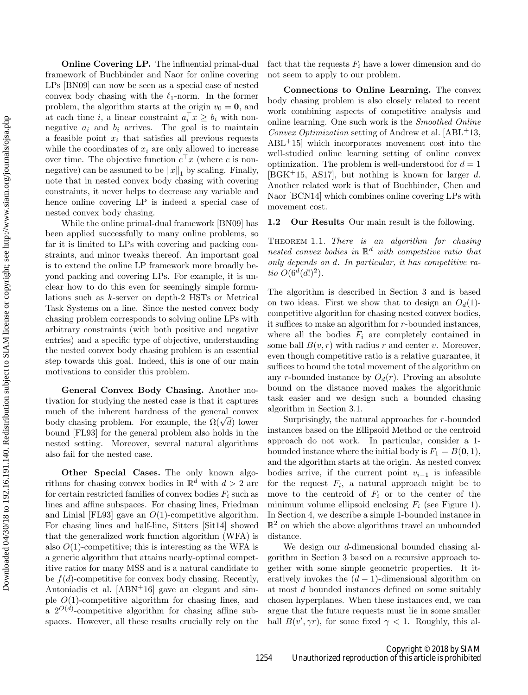Online Covering LP. The influential primal-dual framework of Buchbinder and Naor for online covering LPs [\[BN09\]](#page-7-10) can now be seen as a special case of nested convex body chasing with the  $\ell_1$ -norm. In the former problem, the algorithm starts at the origin  $v_0 = 0$ , and at each time *i*, a linear constraint  $a_i^T x \geq b_i$  with nonnegative  $a_i$  and  $b_i$  arrives. The goal is to maintain a feasible point  $x_i$  that satisfies all previous requests while the coordinates of  $x_i$  are only allowed to increase over time. The objective function  $c<sup>+</sup> x$  (where c is nonnegative) can be assumed to be  $||x||_1$  by scaling. Finally, note that in nested convex body chasing with covering constraints, it never helps to decrease any variable and hence online covering LP is indeed a special case of nested convex body chasing.

While the online primal-dual framework [\[BN09\]](#page-7-10) has been applied successfully to many online problems, so far it is limited to LPs with covering and packing constraints, and minor tweaks thereof. An important goal is to extend the online LP framework more broadly beyond packing and covering LPs. For example, it is unclear how to do this even for seemingly simple formulations such as k-server on depth-2 HSTs or Metrical Task Systems on a line. Since the nested convex body chasing problem corresponds to solving online LPs with arbitrary constraints (with both positive and negative entries) and a specific type of objective, understanding the nested convex body chasing problem is an essential step towards this goal. Indeed, this is one of our main motivations to consider this problem.

General Convex Body Chasing. Another motivation for studying the nested case is that it captures much of the inherent hardness of the general convex body chasing problem. For example, the  $\Omega(\sqrt{d})$  lower bound [\[FL93\]](#page-7-11) for the general problem also holds in the nested setting. Moreover, several natural algorithms also fail for the nested case.

Other Special Cases. The only known algorithms for chasing convex bodies in  $\mathbb{R}^d$  with  $d > 2$  are for certain restricted families of convex bodies  $F_i$  such as lines and affine subspaces. For chasing lines, Friedman and Linial [\[FL93\]](#page-7-11) gave an  $O(1)$ -competitive algorithm. For chasing lines and half-line, Sitters [\[Sit14\]](#page-7-12) showed that the generalized work function algorithm (WFA) is also  $O(1)$ -competitive; this is interesting as the WFA is a generic algorithm that attains nearly-optimal competitive ratios for many MSS and is a natural candidate to be  $f(d)$ -competitive for convex body chasing. Recently, Antoniadis et al.  $[ABN+16]$  $[ABN+16]$  gave an elegant and simple  $O(1)$ -competitive algorithm for chasing lines, and a  $2^{O(d)}$ -competitive algorithm for chasing affine subspaces. However, all these results crucially rely on the fact that the requests  $F_i$  have a lower dimension and do not seem to apply to our problem.

Connections to Online Learning. The convex body chasing problem is also closely related to recent work combining aspects of competitive analysis and online learning. One such work is the Smoothed Online Convex Optimization setting of Andrew et al.  $[ABL+13,$  $[ABL+13,$ [ABL](#page-7-15)+15] which incorporates movement cost into the well-studied online learning setting of online convex optimization. The problem is well-understood for  $d = 1$  $[BGK^+15, AS17]$  $[BGK^+15, AS17]$  $[BGK^+15, AS17]$ , but nothing is known for larger d. Another related work is that of Buchbinder, Chen and Naor [\[BCN14\]](#page-7-18) which combines online covering LPs with movement cost.

<span id="page-1-0"></span>1.2 Our Results Our main result is the following.

THEOREM 1.1. There is an algorithm for chasing nested convex bodies in  $\mathbb{R}^d$  with competitive ratio that only depends on d. In particular, it has competitive ratio  $O(6^d(d!)^2)$ .

The algorithm is described in Section [3](#page-2-0) and is based on two ideas. First we show that to design an  $O_d(1)$ competitive algorithm for chasing nested convex bodies, it suffices to make an algorithm for r-bounded instances, where all the bodies  $F_i$  are completely contained in some ball  $B(v, r)$  with radius r and center v. Moreover, even though competitive ratio is a relative guarantee, it suffices to bound the total movement of the algorithm on any r-bounded instance by  $O_d(r)$ . Proving an absolute bound on the distance moved makes the algorithmic task easier and we design such a bounded chasing algorithm in Section [3.1.](#page-3-0)

Surprisingly, the natural approaches for  $r$ -bounded instances based on the Ellipsoid Method or the centroid approach do not work. In particular, consider a 1 bounded instance where the initial body is  $F_1 = B(0, 1)$ , and the algorithm starts at the origin. As nested convex bodies arrive, if the current point  $v_{i-1}$  is infeasible for the request  $F_i$ , a natural approach might be to move to the centroid of  $F_i$  or to the center of the minimum volume ellipsoid enclosing  $F_i$  (see Figure [1\)](#page-2-1). In Section [4,](#page-5-0) we describe a simple 1-bounded instance in  $\mathbb{R}^2$  on which the above algorithms travel an unbounded distance.

We design our d-dimensional bounded chasing algorithm in Section [3](#page-2-0) based on a recursive approach together with some simple geometric properties. It iteratively invokes the  $(d-1)$ -dimensional algorithm on at most d bounded instances defined on some suitably chosen hyperplanes. When these instances end, we can argue that the future requests must lie in some smaller ball  $B(v', \gamma r)$ , for some fixed  $\gamma < 1$ . Roughly, this al-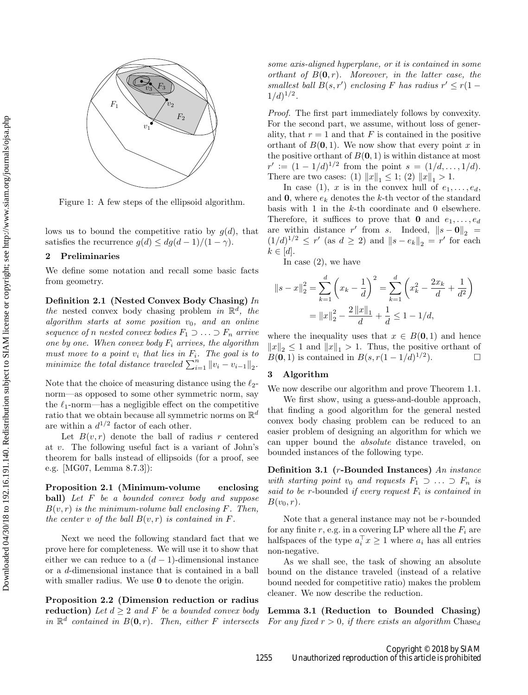<span id="page-2-1"></span>

Figure 1: A few steps of the ellipsoid algorithm.

lows us to bound the competitive ratio by  $q(d)$ , that satisfies the recurrence  $g(d) \leq dg(d-1)/(1-\gamma)$ .

### **Preliminaries**

We define some notation and recall some basic facts from geometry.

Definition 2.1 (Nested Convex Body Chasing) In the nested convex body chasing problem in  $\mathbb{R}^d$ , the algorithm starts at some position  $v_0$ , and an online sequence of n nested convex bodies  $F_1 \supset \ldots \supset F_n$  arrive one by one. When convex body  $F_i$  arrives, the algorithm must move to a point  $v_i$  that lies in  $F_i$ . The goal is to minimize the total distance traveled  $\sum_{i=1}^{n} ||v_i - v_{i-1}||_2$ .

Note that the choice of measuring distance using the  $\ell_2$ norm—as opposed to some other symmetric norm, say the  $\ell_1$ -norm—has a negligible effect on the competitive ratio that we obtain because all symmetric norms on  $\mathbb{R}^d$ are within a  $d^{1/2}$  factor of each other.

Let  $B(v, r)$  denote the ball of radius r centered at v. The following useful fact is a variant of John's theorem for balls instead of ellipsoids (for a proof, see e.g. [\[MG07,](#page-7-19) Lemma 8.7.3]):

<span id="page-2-4"></span>Proposition 2.1 (Minimum-volume enclosing ball) Let F be a bounded convex body and suppose  $B(v, r)$  is the minimum-volume ball enclosing F. Then, the center v of the ball  $B(v, r)$  is contained in F.

Next we need the following standard fact that we prove here for completeness. We will use it to show that either we can reduce to a  $(d-1)$ -dimensional instance or a d-dimensional instance that is contained in a ball with smaller radius. We use **0** to denote the origin.

<span id="page-2-3"></span>Proposition 2.2 (Dimension reduction or radius reduction) Let  $d > 2$  and F be a bounded convex body in  $\mathbb{R}^d$  contained in  $B(0,r)$ . Then, either F intersects

some axis-aligned hyperplane, or it is contained in some orthant of  $B(0,r)$ . Moreover, in the latter case, the  $smallest ball B(s, r') enclosing F has radius r' \leq r(1 1/d)^{1/2}$ .

Proof. The first part immediately follows by convexity. For the second part, we assume, without loss of generality, that  $r = 1$  and that F is contained in the positive orthant of  $B(0, 1)$ . We now show that every point x in the positive orthant of  $B(0, 1)$  is within distance at most  $r' := (1 - 1/d)^{1/2}$  from the point  $s = (1/d, \ldots, 1/d).$ There are two cases: (1)  $||x||_1 \leq 1$ ; (2)  $||x||_1 > 1$ .

In case (1), x is in the convex hull of  $e_1, \ldots, e_d$ , and 0, where  $e_k$  denotes the k-th vector of the standard basis with 1 in the k-th coordinate and 0 elsewhere. Therefore, it suffices to prove that **0** and  $e_1, \ldots, e_d$ are within distance r' from s. Indeed,  $||s - \mathbf{0}||_2$  =  $(1/d)^{1/2} \leq r'$  (as  $d \geq 2$ ) and  $||s - e_k||_2 = r'$  for each  $k \in [d]$ .

In case (2), we have

$$
||s - x||_2^2 = \sum_{k=1}^d \left( x_k - \frac{1}{d} \right)^2 = \sum_{k=1}^d \left( x_k^2 - \frac{2x_k}{d} + \frac{1}{d^2} \right)
$$
  
=  $||x||_2^2 - \frac{2 ||x||_1}{d} + \frac{1}{d} \le 1 - 1/d,$ 

where the inequality uses that  $x \in B(0,1)$  and hence  $||x||_2 \leq 1$  and  $||x||_1 > 1$ . Thus, the positive orthant of  $B(0, 1)$  is contained in  $B(s, r(1 - 1/d)^{1/2})$  $\Box$ 

## <span id="page-2-0"></span>3 Algorithm

We now describe our algorithm and prove Theorem [1.1.](#page-1-0)

We first show, using a guess-and-double approach, that finding a good algorithm for the general nested convex body chasing problem can be reduced to an easier problem of designing an algorithm for which we can upper bound the absolute distance traveled, on bounded instances of the following type.

Definition 3.1 (r-Bounded Instances) An instance with starting point  $v_0$  and requests  $F_1 \supset \ldots \supset F_n$  is said to be r-bounded if every request  $F_i$  is contained in  $B(v_0, r)$ .

Note that a general instance may not be r-bounded for any finite r, e.g. in a covering LP where all the  $F_i$  are halfspaces of the type  $a_i^{\dagger} x \geq 1$  where  $a_i$  has all entries non-negative.

As we shall see, the task of showing an absolute bound on the distance traveled (instead of a relative bound needed for competitive ratio) makes the problem cleaner. We now describe the reduction.

<span id="page-2-2"></span>Lemma 3.1 (Reduction to Bounded Chasing) For any fixed  $r > 0$ , if there exists an algorithm Chased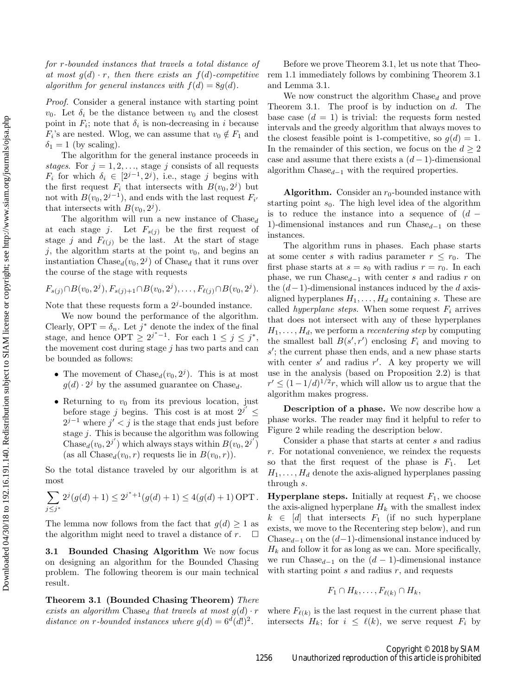for r-bounded instances that travels a total distance of at most  $q(d) \cdot r$ , then there exists an  $f(d)$ -competitive algorithm for general instances with  $f(d) = 8g(d)$ .

Proof. Consider a general instance with starting point  $v_0$ . Let  $\delta_i$  be the distance between  $v_0$  and the closest point in  $F_i$ ; note that  $\delta_i$  is non-decreasing in i because  $F_i$ 's are nested. Wlog, we can assume that  $v_0 \notin F_1$  and  $\delta_1 = 1$  (by scaling).

The algorithm for the general instance proceeds in stages. For  $j = 1, 2, \ldots$ , stage j consists of all requests  $F_i$  for which  $\delta_i \in [2^{j-1}, 2^j)$ , i.e., stage j begins with the first request  $F_i$  that intersects with  $B(v_0, 2^j)$  but not with  $B(v_0, 2^{j-1})$ , and ends with the last request  $F_{i'}$ that intersects with  $B(v_0, 2^j)$ .

The algorithm will run a new instance of  $\text{Chase}_d$ at each stage j. Let  $F_{s(j)}$  be the first request of stage j and  $F_{\ell(j)}$  be the last. At the start of stage j, the algorithm starts at the point  $v_0$ , and begins an instantiation Chase<sub>d</sub> $(v_0, 2^j)$  of Chase<sub>d</sub> that it runs over the course of the stage with requests

$$
F_{s(j)} \cap B(v_0, 2^j), F_{s(j)+1} \cap B(v_0, 2^j), \ldots, F_{\ell(j)} \cap B(v_0, 2^j).
$$

Note that these requests form a  $2<sup>j</sup>$ -bounded instance.

We now bound the performance of the algorithm. Clearly,  $\text{OPT} = \delta_n$ . Let  $j^*$  denote the index of the final stage, and hence  $\text{OPT} \geq 2^{j^*-1}$ . For each  $1 \leq j \leq j^*$ , the movement cost during stage  $j$  has two parts and can be bounded as follows:

- The movement of  $\text{Chase}_d(v_0, 2^j)$ . This is at most  $g(d) \cdot 2^j$  by the assumed guarantee on Chase<sub>d</sub>.
- Returning to  $v_0$  from its previous location, just before stage j begins. This cost is at most  $2^{j'} \leq$  $2^{j-1}$  where  $j' < j$  is the stage that ends just before stage j. This is because the algorithm was following Chase<sub>d</sub> $(v_0, 2^{j'})$  which always stays within  $B(v_0, 2^{j'})$ (as all  $\text{Chase}_d(v_0, r)$  requests lie in  $B(v_0, r)$ ).

So the total distance traveled by our algorithm is at most

$$
\sum_{j\leq j^*} 2^j (g(d)+1) \leq 2^{j^*+1} (g(d)+1) \leq 4(g(d)+1) \text{ OPT}.
$$

The lemma now follows from the fact that  $g(d) \geq 1$  as the algorithm might need to travel a distance of r.  $\square$ the algorithm might need to travel a distance of  $r$ .

<span id="page-3-0"></span>3.1 Bounded Chasing Algorithm We now focus on designing an algorithm for the Bounded Chasing problem. The following theorem is our main technical result.

<span id="page-3-1"></span>Theorem 3.1 (Bounded Chasing Theorem) There exists an algorithm Chase<sub>d</sub> that travels at most  $g(d) \cdot r$ distance on r-bounded instances where  $g(d) = 6^d(d!)^2$ .

Before we prove Theorem [3.1,](#page-3-1) let us note that Theorem [1.1](#page-1-0) immediately follows by combining Theorem [3.1](#page-3-1) and Lemma [3.1.](#page-2-2)

We now construct the algorithm  $\text{Chase}_d$  and prove Theorem [3.1.](#page-3-1) The proof is by induction on  $d$ . The base case  $(d = 1)$  is trivial: the requests form nested intervals and the greedy algorithm that always moves to the closest feasible point is 1-competitive, so  $g(d) = 1$ . In the remainder of this section, we focus on the  $d \geq 2$ case and assume that there exists a  $(d-1)$ -dimensional algorithm  $\text{Chase}_{d-1}$  with the required properties.

Algorithm. Consider an  $r_0$ -bounded instance with starting point  $s_0$ . The high level idea of the algorithm is to reduce the instance into a sequence of  $(d -$ 1)-dimensional instances and run Chase $_{d-1}$  on these instances.

The algorithm runs in phases. Each phase starts at some center s with radius parameter  $r \leq r_0$ . The first phase starts at  $s = s_0$  with radius  $r = r_0$ . In each phase, we run Chase $_{d-1}$  with center s and radius r on the  $(d-1)$ -dimensional instances induced by the d axisaligned hyperplanes  $H_1, \ldots, H_d$  containing s. These are called *hyperplane steps*. When some request  $F_i$  arrives that does not intersect with any of these hyperplanes  $H_1, \ldots, H_d$ , we perform a *recentering step* by computing the smallest ball  $B(s', r')$  enclosing  $F_i$  and moving to  $s'$ ; the current phase then ends, and a new phase starts with center  $s'$  and radius  $r'$ . A key property we will use in the analysis (based on Proposition [2.2\)](#page-2-3) is that  $r' \leq (1 - 1/d)^{1/2}r$ , which will allow us to argue that the algorithm makes progress.

Description of a phase. We now describe how a phase works. The reader may find it helpful to refer to Figure [2](#page-4-0) while reading the description below.

Consider a phase that starts at center s and radius r. For notational convenience, we reindex the requests so that the first request of the phase is  $F_1$ . Let  $H_1, \ldots, H_d$  denote the axis-aligned hyperplanes passing through s.

**Hyperplane steps.** Initially at request  $F_1$ , we choose the axis-aligned hyperplane  $H_k$  with the smallest index  $k \in [d]$  that intersects  $F_1$  (if no such hyperplane exists, we move to the Recentering step below), and run Chase $_{d-1}$  on the  $(d-1)$ -dimensional instance induced by  $H_k$  and follow it for as long as we can. More specifically, we run Chase<sub>d−1</sub> on the  $(d-1)$ -dimensional instance with starting point  $s$  and radius  $r$ , and requests

$$
F_1 \cap H_k, \ldots, F_{\ell(k)} \cap H_k,
$$

where  $F_{\ell(k)}$  is the last request in the current phase that intersects  $H_k$ ; for  $i \leq \ell(k)$ , we serve request  $F_i$  by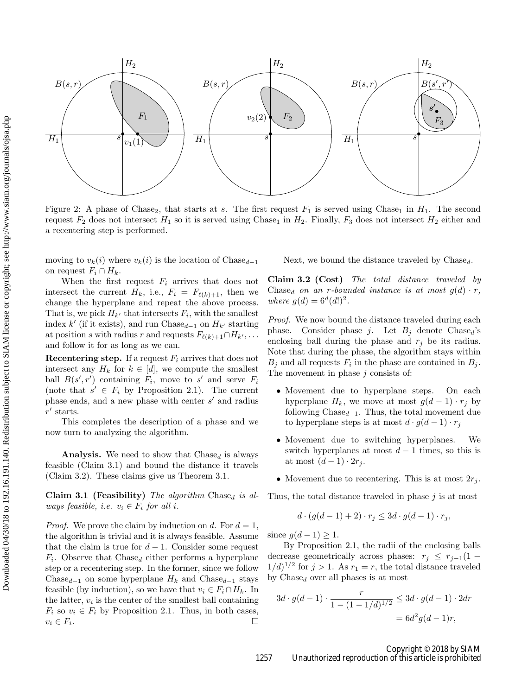<span id="page-4-0"></span>

Figure 2: A phase of Chase<sub>2</sub>, that starts at s. The first request  $F_1$  is served using Chase<sub>1</sub> in  $H_1$ . The second request  $F_2$  does not intersect  $H_1$  so it is served using Chase<sub>1</sub> in  $H_2$ . Finally,  $F_3$  does not intersect  $H_2$  either and a recentering step is performed.

moving to  $v_k(i)$  where  $v_k(i)$  is the location of Chase<sub>d−1</sub> on request  $F_i \cap H_k$ .

When the first request  $F_i$  arrives that does not intersect the current  $H_k$ , i.e.,  $F_i = F_{\ell(k)+1}$ , then we change the hyperplane and repeat the above process. That is, we pick  $H_{k'}$  that intersects  $F_i$ , with the smallest index  $k'$  (if it exists), and run Chase<sub>d-1</sub> on  $H_{k'}$  starting at position s with radius r and requests  $F_{\ell(k)+1} \cap H_{k'}, \ldots$ and follow it for as long as we can.

Recentering step. If a request  $F_i$  arrives that does not intersect any  $H_k$  for  $k \in [d]$ , we compute the smallest ball  $B(s', r')$  containing  $F_i$ , move to s' and serve  $F_i$ (note that  $s' \in F_i$  by Proposition [2.1\)](#page-2-4). The current phase ends, and a new phase with center  $s'$  and radius  $r'$  starts.

This completes the description of a phase and we now turn to analyzing the algorithm.

**Analysis.** We need to show that  $\text{Chase}_d$  is always feasible (Claim [3.1\)](#page-4-1) and bound the distance it travels (Claim [3.2\)](#page-4-2). These claims give us Theorem [3.1.](#page-3-1)

<span id="page-4-1"></span>Claim 3.1 (Feasibility) The algorithm Chased is always feasible, i.e.  $v_i \in F_i$  for all i.

*Proof.* We prove the claim by induction on d. For  $d = 1$ , the algorithm is trivial and it is always feasible. Assume that the claim is true for  $d-1$ . Consider some request  $F_i$ . Observe that  $\text{Chase}_d$  either performs a hyperplane step or a recentering step. In the former, since we follow Chase<sub>d−1</sub> on some hyperplane  $H_k$  and Chase<sub>d−1</sub> stays feasible (by induction), so we have that  $v_i \in F_i \cap H_k$ . In the latter,  $v_i$  is the center of the smallest ball containing  $F_i$  so  $v_i \in F_i$  by Proposition [2.1.](#page-2-4) Thus, in both cases,<br> $v_i \in F_i$ .  $v_i \in F_i$ . .

Next, we bound the distance traveled by  $Chase<sub>d</sub>$ .

<span id="page-4-2"></span>Claim 3.2 (Cost) The total distance traveled by Chased on an r-bounded instance is at most  $g(d) \cdot r$ , where  $g(d) = 6^d (d!)^2$ .

Proof. We now bound the distance traveled during each phase. Consider phase j. Let  $B_i$  denote Chase<sub>d</sub>'s enclosing ball during the phase and  $r_j$  be its radius. Note that during the phase, the algorithm stays within  $B_j$  and all requests  $F_i$  in the phase are contained in  $B_j$ . The movement in phase  $j$  consists of:

- Movement due to hyperplane steps. On each hyperplane  $H_k$ , we move at most  $g(d-1) \cdot r_j$  by following Chase $_{d-1}$ . Thus, the total movement due to hyperplane steps is at most  $d \cdot g(d-1) \cdot r_i$
- Movement due to switching hyperplanes. We switch hyperplanes at most  $d-1$  times, so this is at most  $(d-1) \cdot 2r_i$ .
- Movement due to recentering. This is at most  $2r_i$ .

Thus, the total distance traveled in phase  $j$  is at most

$$
d \cdot (g(d-1)+2) \cdot r_j \le 3d \cdot g(d-1) \cdot r_j,
$$

since  $q(d-1) \geq 1$ .

By Proposition [2.1,](#page-2-4) the radii of the enclosing balls decrease geometrically across phases:  $r_j \leq r_{j-1}(1 1/d)^{1/2}$  for  $j > 1$ . As  $r_1 = r$ , the total distance traveled by  $Chase<sub>d</sub>$  over all phases is at most

$$
3d \cdot g(d-1) \cdot \frac{r}{1 - (1 - 1/d)^{1/2}} \le 3d \cdot g(d-1) \cdot 2dr
$$
  
=  $6d^2g(d-1)r$ ,

Copyright © 2018 by SIAM 1257 Unauthorized reproduction of this article is prohibited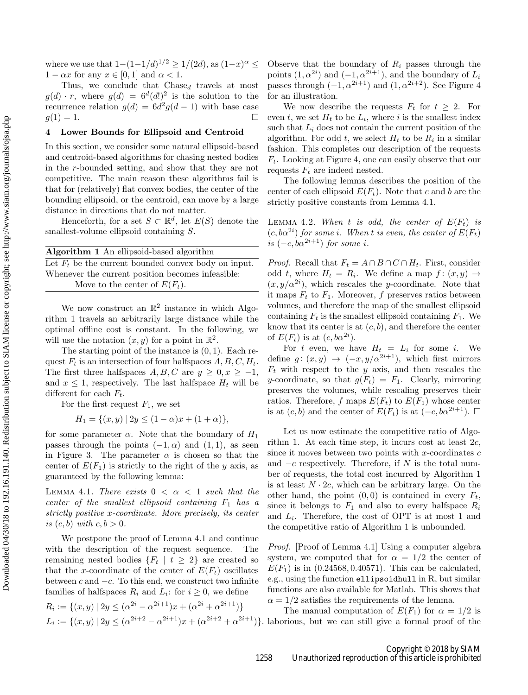where we use that  $1 - (1 - 1/d)^{1/2} \ge 1/(2d)$ , as  $(1 - x)^{\alpha} \le$  $1 - \alpha x$  for any  $x \in [0, 1]$  and  $\alpha < 1$ .

Thus, we conclude that  $\text{Chase}_d$  travels at most  $g(d) \cdot r$ , where  $g(d) = 6^d(d!)^2$  is the solution to the recurrence relation  $g(d) = 6d^2g(d-1)$  with base case  $g(1) = 1.$ 

### <span id="page-5-0"></span>4 Lower Bounds for Ellipsoid and Centroid

In this section, we consider some natural ellipsoid-based and centroid-based algorithms for chasing nested bodies in the r-bounded setting, and show that they are not competitive. The main reason these algorithms fail is that for (relatively) flat convex bodies, the center of the bounding ellipsoid, or the centroid, can move by a large distance in directions that do not matter.

Henceforth, for a set  $S \subset \mathbb{R}^d$ , let  $E(S)$  denote the smallest-volume ellipsoid containing S.

<span id="page-5-1"></span>

| Algorithm 1 An ellipsoid-based algorithm               |
|--------------------------------------------------------|
| Let $F_t$ be the current bounded convex body on input. |
| Whenever the current position becomes infeasible:      |
| Move to the center of $E(F_t)$ .                       |

We now construct an  $\mathbb{R}^2$  instance in which Algorithm [1](#page-5-1) travels an arbitrarily large distance while the optimal offline cost is constant. In the following, we will use the notation  $(x, y)$  for a point in  $\mathbb{R}^2$ .

The starting point of the instance is  $(0, 1)$ . Each request  $F_t$  is an intersection of four halfspaces  $A, B, C, H_t$ . The first three halfspaces  $A, B, C$  are  $y \geq 0, x \geq -1$ , and  $x \leq 1$ , respectively. The last halfspace  $H_t$  will be different for each  $F_t$ .

For the first request  $F_1$ , we set

$$
H_1 = \{(x, y) \mid 2y \le (1 - \alpha)x + (1 + \alpha)\},\
$$

for some parameter  $\alpha$ . Note that the boundary of  $H_1$ passes through the points  $(-1, \alpha)$  and  $(1, 1)$ , as seen in Figure [3.](#page-6-0) The parameter  $\alpha$  is chosen so that the center of  $E(F_1)$  is strictly to the right of the y axis, as guaranteed by the following lemma:

<span id="page-5-2"></span>LEMMA 4.1. There exists  $0 < \alpha < 1$  such that the center of the smallest ellipsoid containing  $F_1$  has a strictly positive x-coordinate. More precisely, its center is  $(c, b)$  with  $c, b > 0$ .

We postpone the proof of Lemma [4.1](#page-5-2) and continue with the description of the request sequence. The remaining nested bodies  ${F_t | t \geq 2}$  are created so that the x-coordinate of the center of  $E(F_t)$  oscillates between  $c$  and  $-c$ . To this end, we construct two infinite families of halfspaces  $R_i$  and  $L_i$ : for  $i \geq 0$ , we define

$$
R_i := \{(x, y) \mid 2y \leq (\alpha^{2i} - \alpha^{2i+1})x + (\alpha^{2i} + \alpha^{2i+1})\}
$$
  
\n
$$
L_i := \{(x, y) \mid 2y \leq (\alpha^{2i+2} - \alpha^{2i+1})x + (\alpha^{2i+2} + \alpha^{2i+1})\}.
$$

Observe that the boundary of  $R_i$  passes through the points  $(1, \alpha^{2i})$  and  $(-1, \alpha^{2i+1})$ , and the boundary of  $L_i$ passes through  $(-1, \alpha^{2i+1})$  and  $(1, \alpha^{2i+2})$ . See Figure [4](#page-6-1) for an illustration.

We now describe the requests  $F_t$  for  $t \geq 2$ . For even t, we set  $H_t$  to be  $L_i$ , where i is the smallest index such that  $L_i$  does not contain the current position of the algorithm. For odd  $t$ , we select  $H_t$  to be  $R_i$  in a similar fashion. This completes our description of the requests  $F_t$ . Looking at Figure [4,](#page-6-1) one can easily observe that our requests  $F_t$  are indeed nested.

The following lemma describes the position of the center of each ellipsoid  $E(F_t)$ . Note that c and b are the strictly positive constants from Lemma [4.1.](#page-5-2)

LEMMA 4.2. When t is odd, the center of  $E(F_t)$  is  $(c, b\alpha^{2i})$  for some i. When t is even, the center of  $E(F_t)$ is  $(-c, b\alpha^{2i+1})$  for some i.

*Proof.* Recall that  $F_t = A \cap B \cap C \cap H_t$ . First, consider odd t, where  $H_t = R_i$ . We define a map  $f: (x, y) \to$  $(x, y/\alpha^{2i})$ , which rescales the y-coordinate. Note that it maps  $F_t$  to  $F_1$ . Moreover, f preserves ratios between volumes, and therefore the map of the smallest ellipsoid containing  $F_t$  is the smallest ellipsoid containing  $F_1$ . We know that its center is at  $(c, b)$ , and therefore the center of  $E(F_t)$  is at  $(c, b\alpha^{2i})$ .

For t even, we have  $H_t = L_i$  for some i. We define  $g: (x, y) \rightarrow (-x, y/\alpha^{2i+1})$ , which first mirrors  $F_t$  with respect to the y axis, and then rescales the y-coordinate, so that  $g(F_t) = F_1$ . Clearly, mirroring preserves the volumes, while rescaling preserves their ratios. Therefore, f maps  $E(F_t)$  to  $E(F_1)$  whose center is at  $(c, b)$  and the center of  $E(F_t)$  is at  $(-c, b\alpha^{2i+1})$ .  $\Box$ 

Let us now estimate the competitive ratio of Algo-rithm [1.](#page-5-1) At each time step, it incurs cost at least  $2c$ , since it moves between two points with  $x$ -coordinates  $c$ and  $-c$  respectively. Therefore, if N is the total number of requests, the total cost incurred by Algorithm [1](#page-5-1) is at least  $N \cdot 2c$ , which can be arbitrary large. On the other hand, the point  $(0, 0)$  is contained in every  $F_t$ , since it belongs to  $F_1$  and also to every halfspace  $R_i$ and  $L_i$ . Therefore, the cost of OPT is at most 1 and the competitive ratio of Algorithm [1](#page-5-1) is unbounded.

Proof. [Proof of Lemma [4.1\]](#page-5-2) Using a computer algebra system, we computed that for  $\alpha = 1/2$  the center of  $E(F_1)$  is in (0.24568, 0.40571). This can be calculated, e.g., using the function ellipsoidhull in R, but similar functions are also available for Matlab. This shows that  $\alpha = 1/2$  satisfies the requirements of the lemma.

The manual computation of  $E(F_1)$  for  $\alpha = 1/2$  is laborious, but we can still give a formal proof of the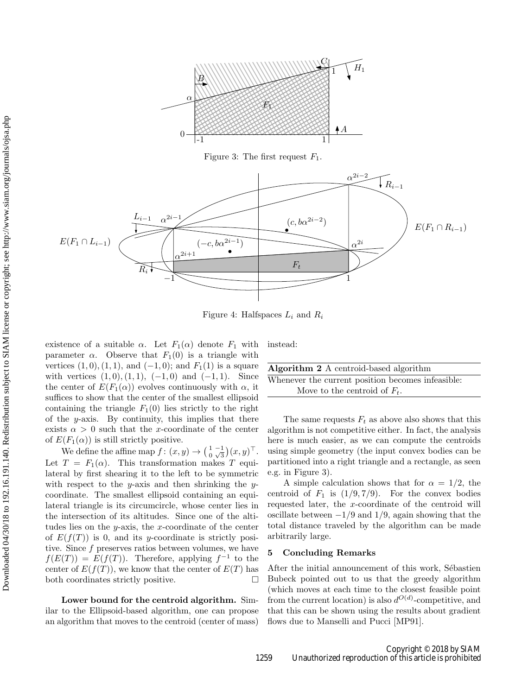<span id="page-6-0"></span>

Figure 3: The first request  $F_1$ .

<span id="page-6-1"></span>

Figure 4: Halfspaces  $L_i$  and  $R_i$ 

existence of a suitable  $\alpha$ . Let  $F_1(\alpha)$  denote  $F_1$  with parameter  $\alpha$ . Observe that  $F_1(0)$  is a triangle with vertices  $(1, 0), (1, 1),$  and  $(-1, 0)$ ; and  $F_1(1)$  is a square with vertices  $(1, 0), (1, 1), (-1, 0)$  and  $(-1, 1)$ . Since the center of  $E(F_1(\alpha))$  evolves continuously with  $\alpha$ , it suffices to show that the center of the smallest ellipsoid containing the triangle  $F_1(0)$  lies strictly to the right of the  $y$ -axis. By continuity, this implies that there exists  $\alpha > 0$  such that the x-coordinate of the center of  $E(F_1(\alpha))$  is still strictly positive.

We define the affine map  $f: (x, y) \to \left(\begin{smallmatrix} 1 & -1 \\ 0 & \sqrt{3} \end{smallmatrix}\right)(x, y)^\top$ . Let  $T = F_1(\alpha)$ . This transformation makes T equilateral by first shearing it to the left to be symmetric with respect to the y-axis and then shrinking the ycoordinate. The smallest ellipsoid containing an equilateral triangle is its circumcircle, whose center lies in the intersection of its altitudes. Since one of the altitudes lies on the  $y$ -axis, the x-coordinate of the center of  $E(f(T))$  is 0, and its y-coordinate is strictly positive. Since  $f$  preserves ratios between volumes, we have  $f(E(T)) = E(f(T))$ . Therefore, applying  $f^{-1}$  to the center of  $E(f(T))$ , we know that the center of  $E(T)$  has both coordinates strictly positive.

Lower bound for the centroid algorithm. Similar to the Ellipsoid-based algorithm, one can propose an algorithm that moves to the centroid (center of mass) instead:

| Algorithm 2 A centroid-based algorithm            |  |
|---------------------------------------------------|--|
| Whenever the current position becomes infeasible: |  |
| Move to the centroid of $F_t$ .                   |  |

The same requests  $F_t$  as above also shows that this algorithm is not competitive either. In fact, the analysis here is much easier, as we can compute the centroids using simple geometry (the input convex bodies can be partitioned into a right triangle and a rectangle, as seen e.g. in Figure [3\)](#page-6-0).

A simple calculation shows that for  $\alpha = 1/2$ , the centroid of  $F_1$  is  $(1/9, 7/9)$ . For the convex bodies requested later, the x-coordinate of the centroid will oscillate between  $-1/9$  and  $1/9$ , again showing that the total distance traveled by the algorithm can be made arbitrarily large.

# 5 Concluding Remarks

After the initial announcement of this work, Sébastien Bubeck pointed out to us that the greedy algorithm (which moves at each time to the closest feasible point from the current location) is also  $d^{O(d)}$ -competitive, and that this can be shown using the results about gradient flows due to Manselli and Pucci [\[MP91\]](#page-7-20).